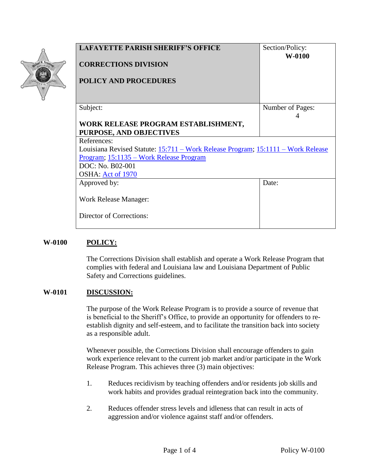| Michael W. Neustrom |
|---------------------|
| LAE DE TTE PARISH   |
|                     |
|                     |

| <b>LAFAYETTE PARISH SHERIFF'S OFFICE</b>                                         | Section/Policy:  |  |
|----------------------------------------------------------------------------------|------------------|--|
|                                                                                  | $W-0100$         |  |
| <b>CORRECTIONS DIVISION</b>                                                      |                  |  |
|                                                                                  |                  |  |
| <b>POLICY AND PROCEDURES</b>                                                     |                  |  |
|                                                                                  |                  |  |
|                                                                                  |                  |  |
| Subject:                                                                         | Number of Pages: |  |
|                                                                                  | 4                |  |
| WORK RELEASE PROGRAM ESTABLISHMENT,                                              |                  |  |
| <b>PURPOSE, AND OBJECTIVES</b>                                                   |                  |  |
| References:                                                                      |                  |  |
| Louisiana Revised Statute: 15:711 – Work Release Program; 15:1111 – Work Release |                  |  |
| Program; 15:1135 – Work Release Program                                          |                  |  |
| DOC: No. B02-001                                                                 |                  |  |
| OSHA: Act of 1970                                                                |                  |  |
| Approved by:                                                                     | Date:            |  |
|                                                                                  |                  |  |
| Work Release Manager:                                                            |                  |  |
|                                                                                  |                  |  |
| Director of Corrections:                                                         |                  |  |
|                                                                                  |                  |  |

## **W-0100 POLICY:**

The Corrections Division shall establish and operate a Work Release Program that complies with federal and Louisiana law and Louisiana Department of Public Safety and Corrections guidelines.

## **W-0101 DISCUSSION:**

The purpose of the Work Release Program is to provide a source of revenue that is beneficial to the Sheriff's Office, to provide an opportunity for offenders to reestablish dignity and self-esteem, and to facilitate the transition back into society as a responsible adult.

Whenever possible, the Corrections Division shall encourage offenders to gain work experience relevant to the current job market and/or participate in the Work Release Program. This achieves three (3) main objectives:

- 1. Reduces recidivism by teaching offenders and/or residents job skills and work habits and provides gradual reintegration back into the community.
- 2. Reduces offender stress levels and idleness that can result in acts of aggression and/or violence against staff and/or offenders.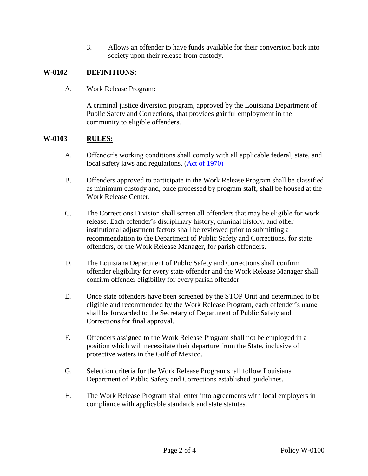3. Allows an offender to have funds available for their conversion back into society upon their release from custody.

## **W-0102 DEFINITIONS:**

A. Work Release Program:

A criminal justice diversion program, approved by the Louisiana Department of Public Safety and Corrections, that provides gainful employment in the community to eligible offenders.

## <span id="page-1-0"></span>**W-0103 RULES:**

- A. Offender's working conditions shall comply with all applicable federal, state, and local safety laws and regulations. (Act of 1970)
- B. Offenders approved to participate in the Work Release Program shall be classified as minimum custody and, once processed by program staff, shall be housed at the Work Release Center.
- C. The Corrections Division shall screen all offenders that may be eligible for work release. Each offender's disciplinary history, criminal history, and other institutional adjustment factors shall be reviewed prior to submitting a recommendation to the Department of Public Safety and Corrections, for state offenders, or the Work Release Manager, for parish offenders.
- D. The Louisiana Department of Public Safety and Corrections shall confirm offender eligibility for every state offender and the Work Release Manager shall confirm offender eligibility for every parish offender.
- E. Once state offenders have been screened by the STOP Unit and determined to be eligible and recommended by the Work Release Program, each offender's name shall be forwarded to the Secretary of Department of Public Safety and Corrections for final approval.
- F. Offenders assigned to the Work Release Program shall not be employed in a position which will necessitate their departure from the State, inclusive of protective waters in the Gulf of Mexico.
- G. Selection criteria for the Work Release Program shall follow Louisiana Department of Public Safety and Corrections established guidelines.
- H. The Work Release Program shall enter into agreements with local employers in compliance with applicable standards and state statutes.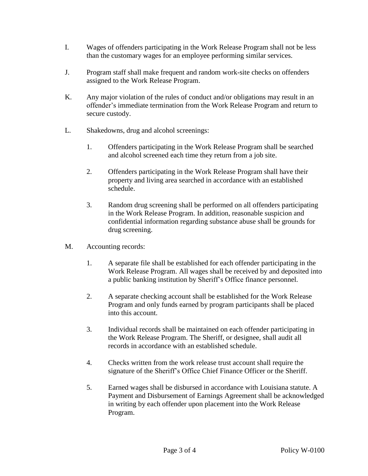- I. Wages of offenders participating in the Work Release Program shall not be less than the customary wages for an employee performing similar services.
- J. Program staff shall make frequent and random work-site checks on offenders assigned to the Work Release Program.
- K. Any major violation of the rules of conduct and/or obligations may result in an offender's immediate termination from the Work Release Program and return to secure custody.
- L. Shakedowns, drug and alcohol screenings:
	- 1. Offenders participating in the Work Release Program shall be searched and alcohol screened each time they return from a job site.
	- 2. Offenders participating in the Work Release Program shall have their property and living area searched in accordance with an established schedule.
	- 3. Random drug screening shall be performed on all offenders participating in the Work Release Program. In addition, reasonable suspicion and confidential information regarding substance abuse shall be grounds for drug screening.
- M. Accounting records:
	- 1. A separate file shall be established for each offender participating in the Work Release Program. All wages shall be received by and deposited into a public banking institution by Sheriff's Office finance personnel.
	- 2. A separate checking account shall be established for the Work Release Program and only funds earned by program participants shall be placed into this account.
	- 3. Individual records shall be maintained on each offender participating in the Work Release Program. The Sheriff, or designee, shall audit all records in accordance with an established schedule.
	- 4. Checks written from the work release trust account shall require the signature of the Sheriff's Office Chief Finance Officer or the Sheriff.
	- 5. Earned wages shall be disbursed in accordance with Louisiana statute. A Payment and Disbursement of Earnings Agreement shall be acknowledged in writing by each offender upon placement into the Work Release Program.